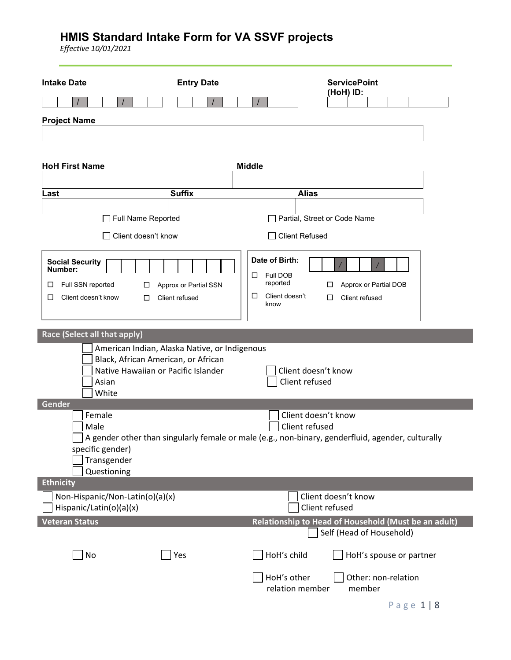| <b>Intake Date</b><br><b>Project Name</b>                                                                                                                             | <b>Entry Date</b>                       |                                                                            | <b>ServicePoint</b><br>(HoH) ID:      |                                         |  |
|-----------------------------------------------------------------------------------------------------------------------------------------------------------------------|-----------------------------------------|----------------------------------------------------------------------------|---------------------------------------|-----------------------------------------|--|
|                                                                                                                                                                       |                                         |                                                                            |                                       |                                         |  |
| <b>HoH First Name</b>                                                                                                                                                 |                                         | <b>Middle</b>                                                              |                                       |                                         |  |
|                                                                                                                                                                       |                                         |                                                                            |                                       |                                         |  |
| Last                                                                                                                                                                  | <b>Suffix</b>                           | <b>Alias</b>                                                               |                                       |                                         |  |
| Full Name Reported                                                                                                                                                    |                                         | Partial, Street or Code Name                                               |                                       |                                         |  |
|                                                                                                                                                                       |                                         |                                                                            |                                       |                                         |  |
| Client doesn't know                                                                                                                                                   |                                         | <b>Client Refused</b>                                                      |                                       |                                         |  |
| <b>Social Security</b><br>Number:<br>Full SSN reported<br>⊔<br>□<br>Client doesn't know<br>□<br>□                                                                     | Approx or Partial SSN<br>Client refused | Date of Birth:<br>Full DOB<br>□<br>reported<br>□<br>Client doesn't<br>know | □<br>П.                               | Approx or Partial DOB<br>Client refused |  |
| Race (Select all that apply)                                                                                                                                          |                                         |                                                                            |                                       |                                         |  |
| American Indian, Alaska Native, or Indigenous<br>Black, African American, or African<br>Native Hawaiian or Pacific Islander<br>Asian<br>White                         |                                         | Client doesn't know<br>Client refused                                      |                                       |                                         |  |
| Gender                                                                                                                                                                |                                         |                                                                            |                                       |                                         |  |
| Female<br>Male<br>A gender other than singularly female or male (e.g., non-binary, genderfluid, agender, culturally<br>specific gender)<br>Transgender<br>Questioning |                                         | Client doesn't know<br>Client refused                                      |                                       |                                         |  |
| <b>Ethnicity</b>                                                                                                                                                      |                                         |                                                                            |                                       |                                         |  |
| Non-Hispanic/Non-Latin(o)(a)(x)<br>Hispanic/Latin(o)(a)(x)                                                                                                            |                                         |                                                                            | Client doesn't know<br>Client refused |                                         |  |
| <b>Veteran Status</b>                                                                                                                                                 |                                         | Relationship to Head of Household (Must be an adult)                       | Self (Head of Household)              |                                         |  |
| No                                                                                                                                                                    | Yes                                     | HoH's child                                                                |                                       | HoH's spouse or partner                 |  |
|                                                                                                                                                                       |                                         | HoH's other<br>relation member                                             |                                       | Other: non-relation<br>member           |  |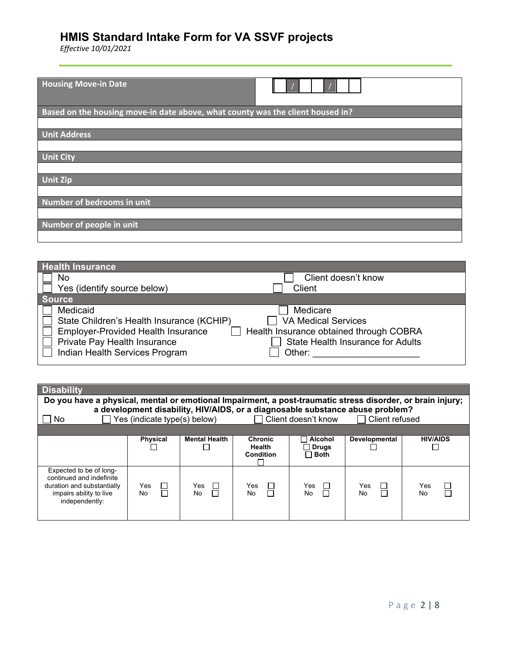| <b>Housing Move-in Date</b>                                                    |
|--------------------------------------------------------------------------------|
| Based on the housing move-in date above, what county was the client housed in? |
|                                                                                |
| <b>Unit Address</b>                                                            |
|                                                                                |
| <b>Unit City</b>                                                               |
|                                                                                |
| <b>Unit Zip</b>                                                                |
|                                                                                |
| Number of bedrooms in unit                                                     |
|                                                                                |
| Number of people in unit                                                       |
|                                                                                |

| <b>Health Insurance</b>                   |                                          |
|-------------------------------------------|------------------------------------------|
| No                                        | Client doesn't know                      |
| Yes (identify source below)               | Client                                   |
| Source                                    |                                          |
| Medicaid                                  | Medicare                                 |
| State Children's Health Insurance (KCHIP) | <b>VA Medical Services</b>               |
| <b>Employer-Provided Health Insurance</b> | Health Insurance obtained through COBRA  |
| Private Pay Health Insurance              | <b>State Health Insurance for Adults</b> |
| Indian Health Services Program            | Other:                                   |
|                                           |                                          |

| <b>Disability</b>                                                                                                              |                              |                      |                                              |                                        |                                                                                                        |                 |
|--------------------------------------------------------------------------------------------------------------------------------|------------------------------|----------------------|----------------------------------------------|----------------------------------------|--------------------------------------------------------------------------------------------------------|-----------------|
| Do you have a physical, mental or emotional Impairment, a post-traumatic stress disorder, or brain injury;                     |                              |                      |                                              |                                        |                                                                                                        |                 |
| No.                                                                                                                            | Yes (indicate type(s) below) |                      |                                              | □ Client doesn't know                  | a development disability, HIV/AIDS, or a diagnosable substance abuse problem?<br>$\Box$ Client refused |                 |
|                                                                                                                                |                              |                      |                                              |                                        |                                                                                                        |                 |
|                                                                                                                                | <b>Physical</b>              | <b>Mental Health</b> | <b>Chronic</b><br><b>Health</b><br>Condition | Alcohol<br>$\Box$ Drugs<br>$\Box$ Both | Developmental                                                                                          | <b>HIV/AIDS</b> |
| Expected to be of long-<br>continued and indefinite<br>duration and substantially<br>impairs ability to live<br>independently: | Yes<br>⊔<br>П<br>No          | Yes<br>$\Box$<br>No. | Yes<br>$\sim$<br>No                          | Yes<br>$\Box$<br>П<br>No.              | Yes<br>No                                                                                              | Yes<br>No       |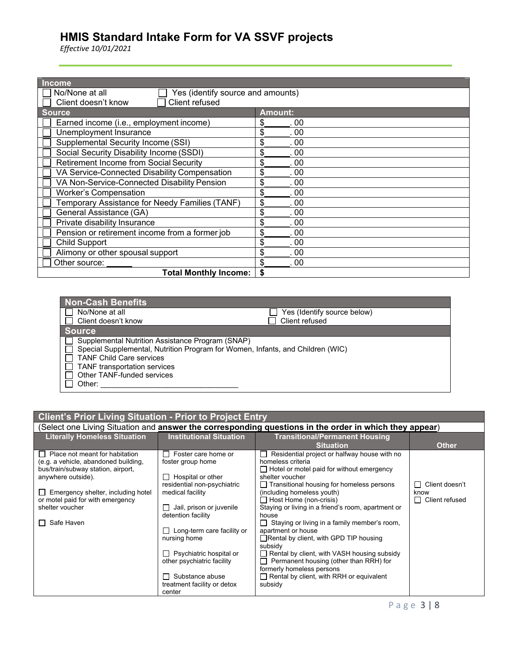| <b>Income</b>                                       |                |  |
|-----------------------------------------------------|----------------|--|
| Yes (identify source and amounts)<br>No/None at all |                |  |
| Client refused<br>Client doesn't know               |                |  |
| <b>Source</b>                                       | <b>Amount:</b> |  |
| Earned income (i.e., employment income)             | \$<br>00       |  |
| Unemployment Insurance                              | \$<br>00       |  |
| Supplemental Security Income (SSI)                  | \$<br>00       |  |
| Social Security Disability Income (SSDI)            | \$<br>00       |  |
| Retirement Income from Social Security              | \$<br>00       |  |
| VA Service-Connected Disability Compensation        | \$<br>00       |  |
| VA Non-Service-Connected Disability Pension         | \$<br>00       |  |
| <b>Worker's Compensation</b>                        | \$<br>00       |  |
| Temporary Assistance for Needy Families (TANF)      | \$<br>00       |  |
| General Assistance (GA)                             | \$<br>00       |  |
| Private disability Insurance                        | \$<br>00       |  |
| Pension or retirement income from a former job      | \$<br>00       |  |
| Child Support                                       | \$<br>00       |  |
| Alimony or other spousal support                    | \$<br>00       |  |
| Other source:                                       | 00             |  |
| <b>Total Monthly Income:</b>                        |                |  |

| <b>Non-Cash Benefits</b>                                                       |                             |
|--------------------------------------------------------------------------------|-----------------------------|
| No/None at all                                                                 | Yes (Identify source below) |
| Client doesn't know                                                            | Client refused              |
| <b>Source</b>                                                                  |                             |
| Supplemental Nutrition Assistance Program (SNAP)                               |                             |
| Special Supplemental, Nutrition Program for Women, Infants, and Children (WIC) |                             |
| <b>TANF Child Care services</b>                                                |                             |
| <b>TANF</b> transportation services                                            |                             |
| Other TANF-funded services                                                     |                             |
| Other:                                                                         |                             |

| <b>Client's Prior Living Situation - Prior to Project Entry</b> |                                                          |                                                                                                                |                                |  |
|-----------------------------------------------------------------|----------------------------------------------------------|----------------------------------------------------------------------------------------------------------------|--------------------------------|--|
|                                                                 |                                                          | (Select one Living Situation and <b>answer the corresponding questions in the order in which they appear</b> ) |                                |  |
| <b>Literally Homeless Situation</b>                             | <b>Institutional Situation</b>                           | <b>Transitional/Permanent Housing</b>                                                                          |                                |  |
|                                                                 |                                                          | <b>Situation</b>                                                                                               | <b>Other</b>                   |  |
| Place not meant for habitation<br>$\perp$                       | Foster care home or                                      | Residential project or halfway house with no                                                                   |                                |  |
| (e.g. a vehicle, abandoned building,                            | foster group home                                        | homeless criteria                                                                                              |                                |  |
| bus/train/subway station, airport,                              |                                                          | $\Box$ Hotel or motel paid for without emergency                                                               |                                |  |
| anywhere outside).                                              | Hospital or other<br>$\Box$                              | shelter voucher                                                                                                |                                |  |
|                                                                 | residential non-psychiatric                              | $\Box$ Transitional housing for homeless persons                                                               | Client doesn't<br>$\mathsf{L}$ |  |
| Emergency shelter, including hotel<br>$\perp$                   | medical facility                                         | (including homeless youth)                                                                                     | know                           |  |
| or motel paid for with emergency<br>shelter voucher             |                                                          | $\Box$ Host Home (non-crisis)<br>Staying or living in a friend's room, apartment or                            | Client refused<br>П            |  |
|                                                                 | Jail, prison or juvenile<br>$\Box$<br>detention facility | house                                                                                                          |                                |  |
| Safe Haven<br>$\perp$                                           |                                                          | $\Box$ Staying or living in a family member's room,                                                            |                                |  |
|                                                                 | $\Box$ Long-term care facility or                        | apartment or house                                                                                             |                                |  |
|                                                                 | nursing home                                             | $\Box$ Rental by client, with GPD TIP housing                                                                  |                                |  |
|                                                                 |                                                          | subsidy                                                                                                        |                                |  |
|                                                                 | $\Box$ Psychiatric hospital or                           | $\Box$ Rental by client, with VASH housing subsidy                                                             |                                |  |
|                                                                 | other psychiatric facility                               | $\Box$ Permanent housing (other than RRH) for                                                                  |                                |  |
|                                                                 |                                                          | formerly homeless persons                                                                                      |                                |  |
|                                                                 | $\Box$ Substance abuse                                   | $\Box$ Rental by client, with RRH or equivalent                                                                |                                |  |
|                                                                 | treatment facility or detox                              | subsidy                                                                                                        |                                |  |
|                                                                 | center                                                   |                                                                                                                |                                |  |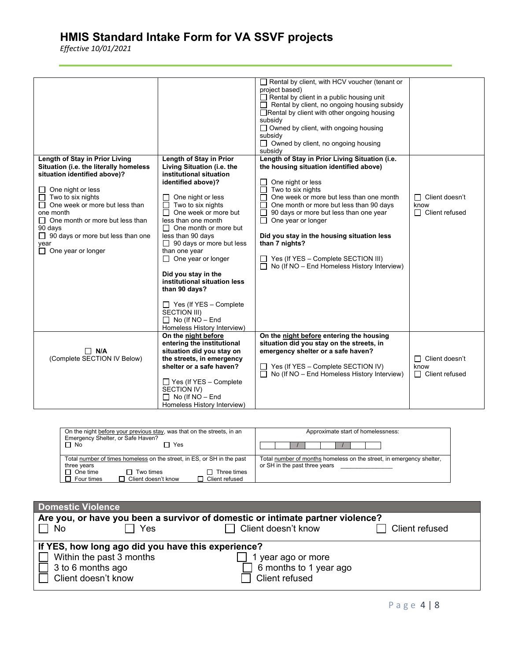| Length of Stay in Prior Living<br>Situation (i.e. the literally homeless<br>situation identified above)?<br>One night or less<br>Two to six nights<br>One week or more but less than<br>П<br>one month<br>One month or more but less than<br>$\Box$<br>90 days<br>$\Box$ 90 days or more but less than one<br>year<br>One year or longer<br>П. | Length of Stay in Prior<br>Living Situation (i.e. the<br>institutional situation<br>identified above)?<br>One night or less<br>ΙI<br>Two to six nights<br>$\mathsf{L}$<br>One week or more but<br>Ш<br>less than one month<br>$\Box$ One month or more but<br>less than 90 days<br>$\Box$ 90 days or more but less<br>than one year<br>$\Box$ One year or longer<br>Did you stay in the<br>institutional situation less<br>than 90 days?<br>$\Box$ Yes (If YES – Complete<br>SECTION III)<br>$\Box$ No (If NO - End<br>Homeless History Interview) | Rental by client, with HCV voucher (tenant or<br>project based)<br>$\Box$ Rental by client in a public housing unit<br>$\Box$ Rental by client, no ongoing housing subsidy<br>□Rental by client with other ongoing housing<br>subsidy<br>$\Box$ Owned by client, with ongoing housing<br>subsidy<br>$\Box$ Owned by client, no ongoing housing<br>subsidy<br>Length of Stay in Prior Living Situation (i.e.<br>the housing situation identified above)<br>One night or less<br>Two to six nights<br>One week or more but less than one month<br>П<br>One month or more but less than 90 days<br>90 days or more but less than one year<br>$\Box$<br>One year or longer<br>$\Box$<br>Did you stay in the housing situation less<br>than 7 nights?<br>Yes (If YES - Complete SECTION III)<br>$\Box$ No (If NO – End Homeless History Interview) | $\Box$ Client doesn't<br>know<br>$\Box$ Client refused |
|------------------------------------------------------------------------------------------------------------------------------------------------------------------------------------------------------------------------------------------------------------------------------------------------------------------------------------------------|----------------------------------------------------------------------------------------------------------------------------------------------------------------------------------------------------------------------------------------------------------------------------------------------------------------------------------------------------------------------------------------------------------------------------------------------------------------------------------------------------------------------------------------------------|-----------------------------------------------------------------------------------------------------------------------------------------------------------------------------------------------------------------------------------------------------------------------------------------------------------------------------------------------------------------------------------------------------------------------------------------------------------------------------------------------------------------------------------------------------------------------------------------------------------------------------------------------------------------------------------------------------------------------------------------------------------------------------------------------------------------------------------------------|--------------------------------------------------------|
| $\Box$ N/A<br>(Complete SECTION IV Below)                                                                                                                                                                                                                                                                                                      | On the night before<br>entering the institutional<br>situation did you stay on<br>the streets, in emergency<br>shelter or a safe haven?<br>$\Box$ Yes (If YES – Complete<br>SECTION IV)<br>$\Box$ No (If NO - End<br>Homeless History Interview)                                                                                                                                                                                                                                                                                                   | On the night before entering the housing<br>situation did you stay on the streets, in<br>emergency shelter or a safe haven?<br>$\Box$ Yes (If YES – Complete SECTION IV)<br>$\Box$ No (If NO – End Homeless History Interview)                                                                                                                                                                                                                                                                                                                                                                                                                                                                                                                                                                                                                | $\Box$ Client doesn't<br>know<br>$\Box$ Client refused |

| On the night before your previous stay, was that on the streets, in an<br>Emergency Shelter, or Safe Haven?<br>$\Box$ No<br>7 Yes                                                                       | Approximate start of homelessness:                                                                    |  |
|---------------------------------------------------------------------------------------------------------------------------------------------------------------------------------------------------------|-------------------------------------------------------------------------------------------------------|--|
| Total number of times homeless on the street, in ES, or SH in the past<br>three years<br>П.<br>One time<br>$\Box$ Two times<br>Three times<br>Client doesn't know<br>Client refused<br>П.<br>Four times | Total number of months homeless on the street, in emergency shelter,<br>or SH in the past three years |  |

| <b>Domestic Violence</b>                                                       |                        |                |
|--------------------------------------------------------------------------------|------------------------|----------------|
| Are you, or have you been a survivor of domestic or intimate partner violence? |                        |                |
| Yes<br>$\Box$ No                                                               | Client doesn't know    | Client refused |
| If YES, how long ago did you have this experience?                             |                        |                |
| Within the past 3 months                                                       | year ago or more       |                |
| 3 to 6 months ago                                                              | 6 months to 1 year ago |                |
| Client doesn't know                                                            | Client refused         |                |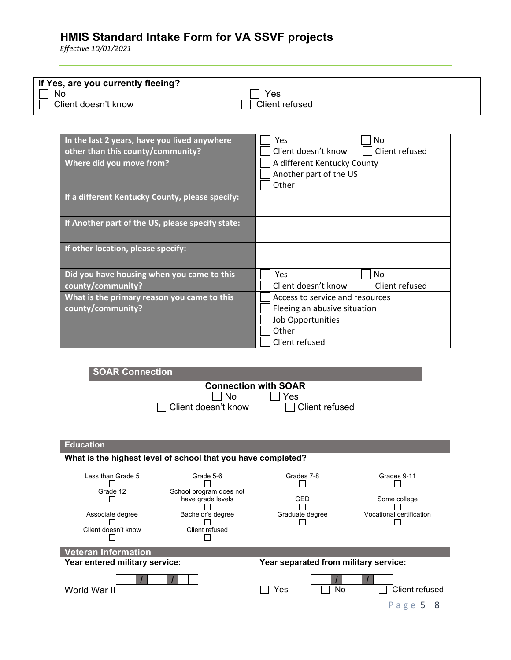| If Yes, are you currently fleeing? |                |
|------------------------------------|----------------|
| No                                 | Yes            |
| Client doesn't know                | Client refused |

| In the last 2 years, have you lived anywhere     | No<br>Yes                             |
|--------------------------------------------------|---------------------------------------|
| other than this county/community?                | Client doesn't know<br>Client refused |
| Where did you move from?                         | A different Kentucky County           |
|                                                  | Another part of the US                |
|                                                  | Other                                 |
| If a different Kentucky County, please specify:  |                                       |
|                                                  |                                       |
| If Another part of the US, please specify state: |                                       |
|                                                  |                                       |
| If other location, please specify:               |                                       |
|                                                  |                                       |
| Did you have housing when you came to this       | Yes<br>No.                            |
| county/community?                                | Client doesn't know<br>Client refused |
| What is the primary reason you came to this      | Access to service and resources       |
| county/community?                                | Fleeing an abusive situation          |
|                                                  | <b>Job Opportunities</b>              |
|                                                  | Other                                 |
|                                                  | Client refused                        |

| <b>SOAR Connection</b>         |                                                              |                                       |                          |
|--------------------------------|--------------------------------------------------------------|---------------------------------------|--------------------------|
|                                |                                                              | <b>Connection with SOAR</b>           |                          |
|                                | No<br>Client doesn't know                                    | Yes<br>Client refused                 |                          |
|                                |                                                              |                                       |                          |
|                                |                                                              |                                       |                          |
|                                |                                                              |                                       |                          |
| <b>Education</b>               |                                                              |                                       |                          |
|                                | What is the highest level of school that you have completed? |                                       |                          |
| Less than Grade 5              | Grade 5-6                                                    | Grades 7-8                            | Grades 9-11              |
| Grade 12                       | School program does not                                      |                                       |                          |
| $\overline{\phantom{a}}$       | have grade levels                                            | <b>GED</b>                            | Some college             |
| Associate degree               | Bachelor's degree                                            | Graduate degree                       | Vocational certification |
| Client doesn't know            | Client refused                                               |                                       |                          |
|                                |                                                              |                                       |                          |
| <b>Veteran Information</b>     |                                                              |                                       |                          |
| Year entered military service: |                                                              | Year separated from military service: |                          |
| World War II                   |                                                              | No<br>Yes                             | Client refused           |
|                                |                                                              |                                       | Page $5 8$               |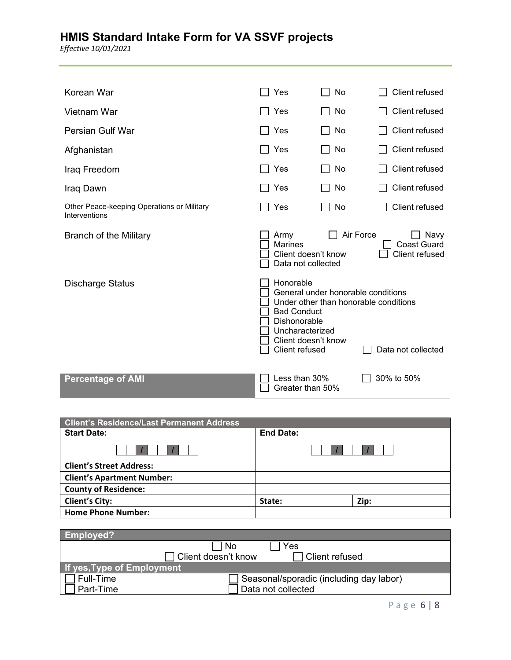| Korean War                                                  | Yes                                                                                                         | <b>No</b>                                                                   | Client refused                               |
|-------------------------------------------------------------|-------------------------------------------------------------------------------------------------------------|-----------------------------------------------------------------------------|----------------------------------------------|
| Vietnam War                                                 | Yes                                                                                                         | No                                                                          | Client refused                               |
| Persian Gulf War                                            | Yes                                                                                                         | No                                                                          | Client refused                               |
| Afghanistan                                                 | Yes                                                                                                         | No                                                                          | Client refused                               |
| Iraq Freedom                                                | Yes                                                                                                         | No                                                                          | Client refused                               |
| Iraq Dawn                                                   | Yes                                                                                                         | No<br>$\mathsf{L}$                                                          | Client refused                               |
| Other Peace-keeping Operations or Military<br>Interventions | Yes                                                                                                         | No                                                                          | Client refused                               |
| <b>Branch of the Military</b>                               | Army<br><b>Marines</b><br>Client doesn't know<br>Data not collected                                         | Air Force                                                                   | Navy<br><b>Coast Guard</b><br>Client refused |
| <b>Discharge Status</b>                                     | Honorable<br><b>Bad Conduct</b><br>Dishonorable<br>Uncharacterized<br>Client doesn't know<br>Client refused | General under honorable conditions<br>Under other than honorable conditions | Data not collected                           |
| <b>Percentage of AMI</b>                                    | Less than 30%<br>Greater than 50%                                                                           |                                                                             | 30% to 50%                                   |

| <b>Client's Residence/Last Permanent Address</b> |                  |      |
|--------------------------------------------------|------------------|------|
| <b>Start Date:</b>                               | <b>End Date:</b> |      |
|                                                  |                  |      |
| <b>Client's Street Address:</b>                  |                  |      |
| <b>Client's Apartment Number:</b>                |                  |      |
| <b>County of Residence:</b>                      |                  |      |
| <b>Client's City:</b>                            | State:           | Zip: |
| <b>Home Phone Number:</b>                        |                  |      |

| <b>Employed?</b>           |                                         |
|----------------------------|-----------------------------------------|
|                            | l No<br>Yes                             |
|                            | Client doesn't know<br>l Client refused |
| If yes, Type of Employment |                                         |
| Full-Time                  | Seasonal/sporadic (including day labor) |
| Part-Time                  | Data not collected                      |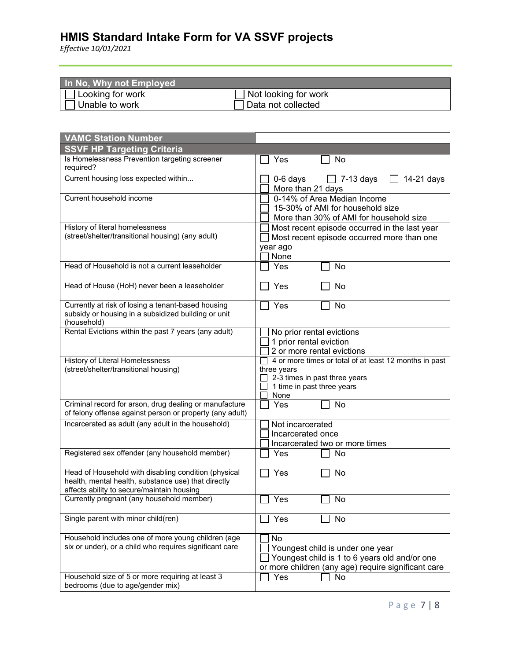| In No, Why not Employed               |                             |
|---------------------------------------|-----------------------------|
| $\sqrt{\phantom{a}}$ Looking for work | $\Box$ Not looking for work |
| Unable to work                        | Data not collected          |

| <b>VAMC Station Number</b>                                                                                                                                |                                                                                                                                                |
|-----------------------------------------------------------------------------------------------------------------------------------------------------------|------------------------------------------------------------------------------------------------------------------------------------------------|
| <b>SSVF HP Targeting Criteria</b>                                                                                                                         |                                                                                                                                                |
| Is Homelessness Prevention targeting screener<br>required?                                                                                                | Yes<br>No                                                                                                                                      |
| Current housing loss expected within                                                                                                                      | $\overline{)}$ 7-13 days<br>14-21 days<br>0-6 days<br>More than 21 days                                                                        |
| Current household income                                                                                                                                  | 0-14% of Area Median Income<br>15-30% of AMI for household size<br>More than 30% of AMI for household size                                     |
| History of literal homelessness<br>(street/shelter/transitional housing) (any adult)                                                                      | Most recent episode occurred in the last year<br>Most recent episode occurred more than one<br>year ago<br>None                                |
| Head of Household is not a current leaseholder                                                                                                            | Yes<br>No                                                                                                                                      |
| Head of House (HoH) never been a leaseholder                                                                                                              | Yes<br>No                                                                                                                                      |
| Currently at risk of losing a tenant-based housing<br>subsidy or housing in a subsidized building or unit<br>(household)                                  | Yes<br>No                                                                                                                                      |
| Rental Evictions within the past 7 years (any adult)                                                                                                      | No prior rental evictions<br>1 prior rental eviction<br>2 or more rental evictions                                                             |
| History of Literal Homelessness<br>(street/shelter/transitional housing)                                                                                  | 4 or more times or total of at least 12 months in past<br>three years<br>2-3 times in past three years<br>1 time in past three years<br>None   |
| Criminal record for arson, drug dealing or manufacture<br>of felony offense against person or property (any adult)                                        | No<br>Yes                                                                                                                                      |
| Incarcerated as adult (any adult in the household)                                                                                                        | Not incarcerated<br>Incarcerated once<br>Incarcerated two or more times                                                                        |
| Registered sex offender (any household member)                                                                                                            | Yes<br>No                                                                                                                                      |
| Head of Household with disabling condition (physical<br>health, mental health, substance use) that directly<br>affects ability to secure/maintain housing | Yes<br>No                                                                                                                                      |
| Currently pregnant (any household member)                                                                                                                 | Yes<br>No                                                                                                                                      |
| Single parent with minor child(ren)                                                                                                                       | Yes<br>No                                                                                                                                      |
| Household includes one of more young children (age<br>six or under), or a child who requires significant care                                             | No<br>Youngest child is under one year<br>Youngest child is 1 to 6 years old and/or one<br>or more children (any age) require significant care |
| Household size of 5 or more requiring at least 3<br>bedrooms (due to age/gender mix)                                                                      | No<br>Yes                                                                                                                                      |